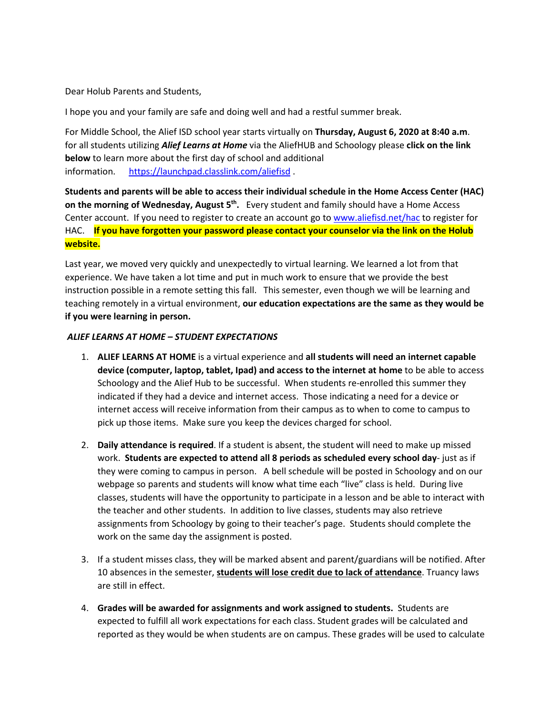Dear Holub Parents and Students,

I hope you and your family are safe and doing well and had a restful summer break.

For Middle School, the Alief ISD school year starts virtually on **Thursday, August 6, 2020 at 8:40 a.m**. for all students utilizing *Alief Learns at Home* via the AliefHUB and Schoology please **click on the link below** to learn more about the first day of school and additional information. <https://launchpad.classlink.com/aliefisd>.

**Students and parents will be able to access their individual schedule in the Home Access Center (HAC) on the morning of Wednesday, August 5th.** Every student and family should have a Home Access Center account. If you need to register to create an account go to [www.aliefisd.net/hac](http://www.aliefisd.net/hac) to register for HAC. **If you have forgotten your password please contact your counselor via the link on the Holub website.**

Last year, we moved very quickly and unexpectedly to virtual learning. We learned a lot from that experience. We have taken a lot time and put in much work to ensure that we provide the best instruction possible in a remote setting this fall. This semester, even though we will be learning and teaching remotely in a virtual environment, **our education expectations are the same as they would be if you were learning in person.** 

## *ALIEF LEARNS AT HOME – STUDENT EXPECTATIONS*

- 1. **ALIEF LEARNS AT HOME** is a virtual experience and **all students will need an internet capable device (computer, laptop, tablet, Ipad) and access to the internet at home** to be able to access Schoology and the Alief Hub to be successful. When students re-enrolled this summer they indicated if they had a device and internet access. Those indicating a need for a device or internet access will receive information from their campus as to when to come to campus to pick up those items. Make sure you keep the devices charged for school.
- 2. **Daily attendance is required**. If a student is absent, the student will need to make up missed work. **Students are expected to attend all 8 periods as scheduled every school day**- just as if they were coming to campus in person. A bell schedule will be posted in Schoology and on our webpage so parents and students will know what time each "live" class is held. During live classes, students will have the opportunity to participate in a lesson and be able to interact with the teacher and other students. In addition to live classes, students may also retrieve assignments from Schoology by going to their teacher's page. Students should complete the work on the same day the assignment is posted.
- 3. If a student misses class, they will be marked absent and parent/guardians will be notified. After 10 absences in the semester, **students will lose credit due to lack of attendance**. Truancy laws are still in effect.
- 4. **Grades will be awarded for assignments and work assigned to students.** Students are expected to fulfill all work expectations for each class. Student grades will be calculated and reported as they would be when students are on campus. These grades will be used to calculate